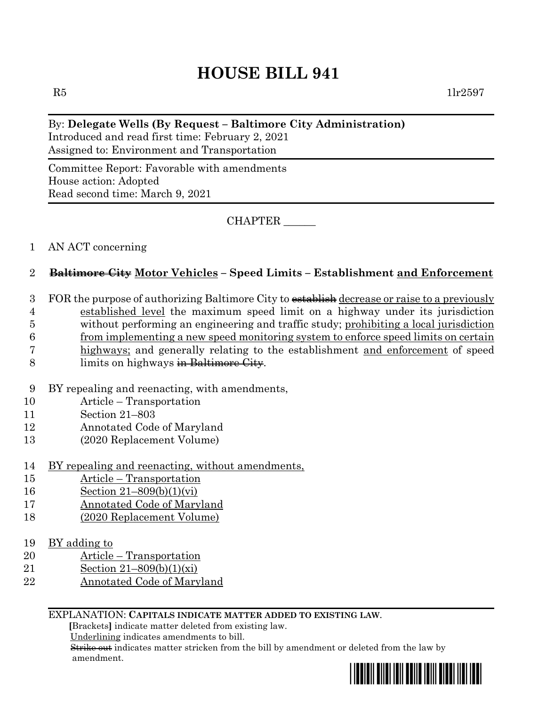# **HOUSE BILL 941**

#### By: **Delegate Wells (By Request – Baltimore City Administration)**

Introduced and read first time: February 2, 2021 Assigned to: Environment and Transportation

Committee Report: Favorable with amendments House action: Adopted Read second time: March 9, 2021

CHAPTER \_\_\_\_\_\_

#### 1 AN ACT concerning

## 2 **Baltimore City Motor Vehicles – Speed Limits – Establishment and Enforcement**

3 FOR the purpose of authorizing Baltimore City to establish decrease or raise to a previously

4 established level the maximum speed limit on a highway under its jurisdiction

5 without performing an engineering and traffic study; prohibiting a local jurisdiction

6 from implementing a new speed monitoring system to enforce speed limits on certain

- 7 highways; and generally relating to the establishment and enforcement of speed
- 8 limits on highways in Baltimore City.
- 9 BY repealing and reenacting, with amendments,
- 10 Article Transportation
- 11 Section 21–803
- 12 Annotated Code of Maryland
- 13 (2020 Replacement Volume)
- 14 BY repealing and reenacting, without amendments,
- 15 Article Transportation
- 16 Section 21–809(b)(1)(vi)
- 17 Annotated Code of Maryland
- 18 (2020 Replacement Volume)
- 19 BY adding to
- 20 Article Transportation
- 21 Section 21–809(b)(1)(xi)
- 22 Annotated Code of Maryland

#### EXPLANATION: **CAPITALS INDICATE MATTER ADDED TO EXISTING LAW**.

 **[**Brackets**]** indicate matter deleted from existing law.

Underlining indicates amendments to bill.

 Strike out indicates matter stricken from the bill by amendment or deleted from the law by amendment.

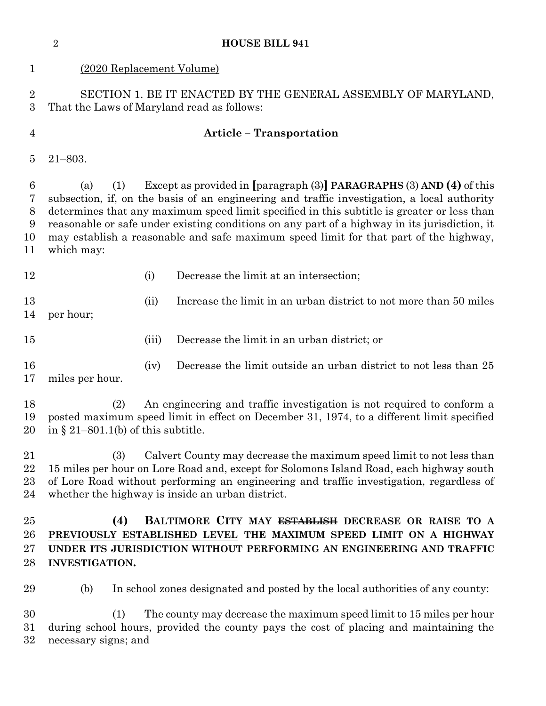| 1                                              | (2020 Replacement Volume)                                                                                                                                                                                                                                                                                                                                                                                                                                                                                    |       |                                                                   |  |
|------------------------------------------------|--------------------------------------------------------------------------------------------------------------------------------------------------------------------------------------------------------------------------------------------------------------------------------------------------------------------------------------------------------------------------------------------------------------------------------------------------------------------------------------------------------------|-------|-------------------------------------------------------------------|--|
| $\overline{2}$<br>3                            | SECTION 1. BE IT ENACTED BY THE GENERAL ASSEMBLY OF MARYLAND,<br>That the Laws of Maryland read as follows:                                                                                                                                                                                                                                                                                                                                                                                                  |       |                                                                   |  |
| $\overline{4}$                                 | <b>Article - Transportation</b>                                                                                                                                                                                                                                                                                                                                                                                                                                                                              |       |                                                                   |  |
| 5                                              | $21 - 803.$                                                                                                                                                                                                                                                                                                                                                                                                                                                                                                  |       |                                                                   |  |
| $6\phantom{.}6$<br>7<br>$8\,$<br>9<br>10<br>11 | Except as provided in $\left[\text{paragnh}\right]\right]$ PARAGRAPHS (3) AND (4) of this<br>(1)<br>(a)<br>subsection, if, on the basis of an engineering and traffic investigation, a local authority<br>determines that any maximum speed limit specified in this subtitle is greater or less than<br>reasonable or safe under existing conditions on any part of a highway in its jurisdiction, it<br>may establish a reasonable and safe maximum speed limit for that part of the highway,<br>which may: |       |                                                                   |  |
| 12                                             |                                                                                                                                                                                                                                                                                                                                                                                                                                                                                                              | (i)   | Decrease the limit at an intersection;                            |  |
| 13<br>14                                       | per hour;                                                                                                                                                                                                                                                                                                                                                                                                                                                                                                    | (ii)  | Increase the limit in an urban district to not more than 50 miles |  |
| 15                                             |                                                                                                                                                                                                                                                                                                                                                                                                                                                                                                              | (iii) | Decrease the limit in an urban district; or                       |  |
| 16<br>17                                       | miles per hour.                                                                                                                                                                                                                                                                                                                                                                                                                                                                                              | (iv)  | Decrease the limit outside an urban district to not less than 25  |  |
| 18<br>19<br>20                                 | An engineering and traffic investigation is not required to conform a<br>(2)<br>posted maximum speed limit in effect on December 31, 1974, to a different limit specified<br>in § 21–801.1(b) of this subtitle.                                                                                                                                                                                                                                                                                              |       |                                                                   |  |
| 21<br>22<br>23<br>24                           | Calvert County may decrease the maximum speed limit to not less than<br>(3)<br>15 miles per hour on Lore Road and, except for Solomons Island Road, each highway south<br>of Lore Road without performing an engineering and traffic investigation, regardless of<br>whether the highway is inside an urban district.                                                                                                                                                                                        |       |                                                                   |  |
| 25<br>26<br>27<br>28                           | (4)<br>BALTIMORE CITY MAY <del>ESTABLISH</del> DECREASE OR RAISE TO A<br>PREVIOUSLY ESTABLISHED LEVEL THE MAXIMUM SPEED LIMIT ON A HIGHWAY<br>UNDER ITS JURISDICTION WITHOUT PERFORMING AN ENGINEERING AND TRAFFIC<br><b>INVESTIGATION.</b>                                                                                                                                                                                                                                                                  |       |                                                                   |  |
| 29                                             | In school zones designated and posted by the local authorities of any county:<br>(b)                                                                                                                                                                                                                                                                                                                                                                                                                         |       |                                                                   |  |
| 30<br>31<br>32                                 | The county may decrease the maximum speed limit to 15 miles per hour<br>(1)<br>during school hours, provided the county pays the cost of placing and maintaining the<br>necessary signs; and                                                                                                                                                                                                                                                                                                                 |       |                                                                   |  |

**HOUSE BILL 941**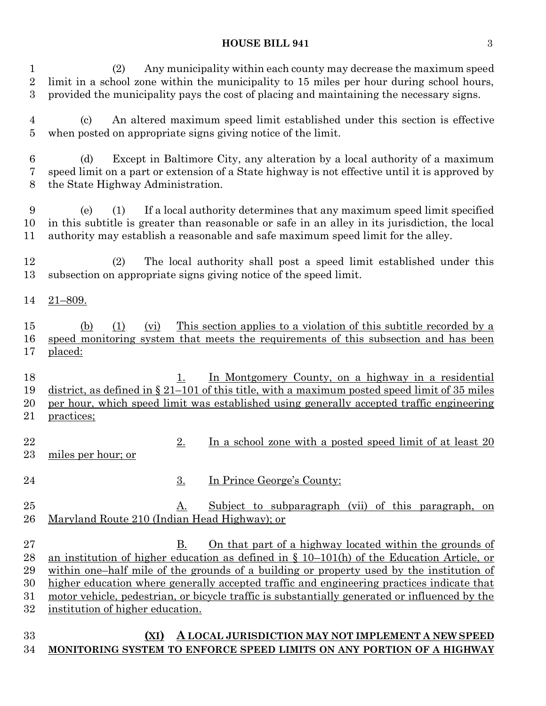#### **HOUSE BILL 941** 3

 (2) Any municipality within each county may decrease the maximum speed limit in a school zone within the municipality to 15 miles per hour during school hours, provided the municipality pays the cost of placing and maintaining the necessary signs.

 (c) An altered maximum speed limit established under this section is effective when posted on appropriate signs giving notice of the limit.

 (d) Except in Baltimore City, any alteration by a local authority of a maximum speed limit on a part or extension of a State highway is not effective until it is approved by the State Highway Administration.

 (e) (1) If a local authority determines that any maximum speed limit specified in this subtitle is greater than reasonable or safe in an alley in its jurisdiction, the local authority may establish a reasonable and safe maximum speed limit for the alley.

 (2) The local authority shall post a speed limit established under this subsection on appropriate signs giving notice of the speed limit.

21–809.

 (b) (1) (vi) This section applies to a violation of this subtitle recorded by a speed monitoring system that meets the requirements of this subsection and has been placed:

18 1. In Montgomery County, on a highway in a residential district, as defined in § 21–101 of this title, with a maximum posted speed limit of 35 miles per hour, which speed limit was established using generally accepted traffic engineering practices;

- 22 2. In a school zone with a posted speed limit of at least 20 miles per hour; or
- 24 3. In Prince George's County:
- 25 A. Subject to subparagraph (vii) of this paragraph, on Maryland Route 210 (Indian Head Highway); or
- B. On that part of a highway located within the grounds of an institution of higher education as defined in § 10–101(h) of the Education Article, or within one–half mile of the grounds of a building or property used by the institution of higher education where generally accepted traffic and engineering practices indicate that motor vehicle, pedestrian, or bicycle traffic is substantially generated or influenced by the institution of higher education.

## **(XI) A LOCAL JURISDICTION MAY NOT IMPLEMENT A NEW SPEED MONITORING SYSTEM TO ENFORCE SPEED LIMITS ON ANY PORTION OF A HIGHWAY**